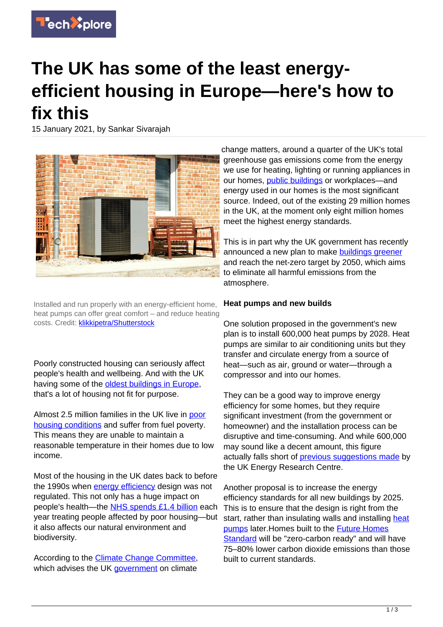

## **The UK has some of the least energyefficient housing in Europe—here's how to fix this**

15 January 2021, by Sankar Sivarajah



Installed and run properly with an energy-efficient home, heat pumps can offer great comfort – and reduce heating costs. Credit: [klikkipetra/Shutterstock](https://www.shutterstock.com/image-photo/airair-heat-pump-heating-hot-water-1714397848heating-hot-water-1714397848)

Poorly constructed housing can seriously affect people's health and wellbeing. And with the UK having some of the [oldest buildings in Europe](https://publications.parliament.uk/pa/cm201719/cmselect/cmbeis/1730/1730.pdf), that's a lot of housing not fit for purpose.

Almost 2.5 million families in the UK live in [poor](https://commonslibrary.parliament.uk/research-briefings/cbp-8730/) [housing conditions](https://commonslibrary.parliament.uk/research-briefings/cbp-8730/) and suffer from fuel poverty. This means they are unable to maintain a reasonable temperature in their homes due to low income.

Most of the housing in the UK dates back to before the 1990s when [energy efficiency](https://techxplore.com/tags/energy+efficiency/) design was not regulated. This not only has a huge impact on people's health—the [NHS spends £1.4 billion](https://publications.parliament.uk/pa/cm201719/cmselect/cmbeis/1730/1730.pdf) each year treating people affected by poor housing—but it also affects our natural environment and biodiversity.

According to the [Climate Change Committee,](https://www.theccc.org.uk/wp-content/uploads/2020/12/Sector-summary-Buildings.pdf) which advises the UK [government](https://techxplore.com/tags/government/) on climate

change matters, around a quarter of the UK's total greenhouse gas emissions come from the energy we use for heating, lighting or running appliances in our homes, [public buildings](https://techxplore.com/tags/public+buildings/) or workplaces—and energy used in our homes is the most significant source. Indeed, out of the existing 29 million homes in the UK, at the moment only eight million homes meet the highest energy standards.

This is in part why the UK government has recently announced a new plan to make **buildings** greener and reach the net-zero target by 2050, which aims to eliminate all harmful emissions from the atmosphere.

## **Heat pumps and new builds**

One solution proposed in the government's new plan is to install 600,000 heat pumps by 2028. Heat pumps are similar to air conditioning units but they transfer and circulate energy from a source of heat—such as air, ground or water—through a compressor and into our homes.

They can be a good way to improve energy efficiency for some homes, but they require significant investment (from the government or homeowner) and the installation process can be disruptive and time-consuming. And while 600,000 may sound like a decent amount, this figure actually falls short of [previous suggestions made](https://d2e1qxpsswcpgz.cloudfront.net/uploads/2020/09/The_pathway_to_net_zero_heating_UKERC_briefing.pdf) by the UK Energy Research Centre.

Another proposal is to increase the energy efficiency standards for all new buildings by 2025. This is to ensure that the design is right from the start, rather than insulating walls and installing [heat](https://techxplore.com/tags/heat+pumps/) [pumps](https://techxplore.com/tags/heat+pumps/) later.Homes built to the [Future Homes](https://www.gov.uk/government/consultations/the-future-homes-standard-changes-to-part-l-and-part-f-of-the-building-regulations-for-new-dwellings) [Standard](https://www.gov.uk/government/consultations/the-future-homes-standard-changes-to-part-l-and-part-f-of-the-building-regulations-for-new-dwellings) will be "zero-carbon ready" and will have 75–80% lower carbon dioxide emissions than those built to current standards.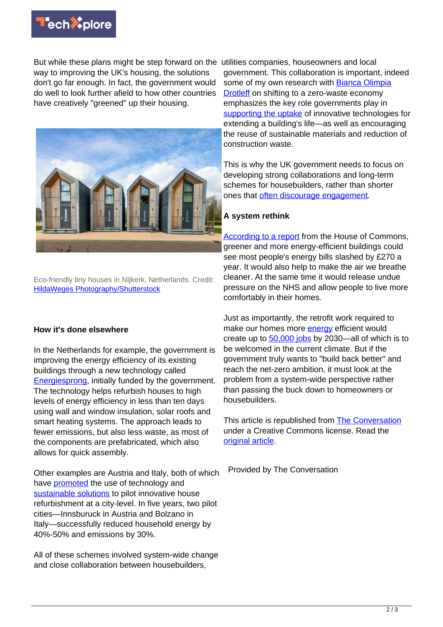

But while these plans might be step forward on the utilities companies, houseowners and local way to improving the UK's housing, the solutions don't go far enough. In fact, the government would do well to look further afield to how other countries have creatively "greened" up their housing.



Eco-friendly tiny houses in NIjkerk, Netherlands. Credit: [HildaWeges Photography/Shutterstock](https://www.shutterstock.com/image-photo/nijkerk-netherlandsmarch-12-2020-eco-friendly-1671907834)

## **How it's done elsewhere**

In the Netherlands for example, the government is improving the energy efficiency of its existing buildings through a new technology called [Energiesprong,](https://energiesprong.org/about/) initially funded by the government. The technology helps refurbish houses to high levels of energy efficiency in less than ten days using wall and window insulation, solar roofs and smart heating systems. The approach leads to fewer emissions, but also less waste, as most of the components are prefabricated, which also allows for quick assembly.

Other examples are Austria and Italy, both of which have [promoted](http://www.sinfonia-smartcities.eu/contents/knowledgecenterfiles/sinfonia-booklet-digital.pdf) the use of technology and [sustainable solutions](https://techxplore.com/tags/sustainable+solutions/) to pilot innovative house refurbishment at a city-level. In five years, two pilot cities—Innsburuck in Austria and Bolzano in Italy—successfully reduced household energy by 40%-50% and emissions by 30%.

All of these schemes involved system-wide change and close collaboration between housebuilders,

government. This collaboration is important, indeed some of my own research with [Bianca Olimpia](https://www.linkedin.com/in/bianca-olimpia-drotleff/?originalSubdomain=uk) **Drotleff** on shifting to a zero-waste economy emphasizes the key role governments play in [supporting the uptake](https://www.sciencedirect.com/science/article/pii/S0148296320303088?dgcid=rss_sd_all) of innovative technologies for extending a building's life—as well as encouraging the reuse of sustainable materials and reduction of construction waste.

This is why the UK government needs to focus on developing strong collaborations and long-term schemes for housebuilders, rather than shorter ones that [often discourage engagement](https://www.theguardian.com/environment/2020/nov/14/3bn-green-home-grants-scheme-faltering-just-weeks-after-launch).

## **A system rethink**

[According to a report](https://publications.parliament.uk/pa/cm201719/cmselect/cmbeis/1730/1730.pdf) from the House of Commons, greener and more energy-efficient buildings could see most people's energy bills slashed by £270 a year. It would also help to make the air we breathe cleaner. At the same time it would release undue pressure on the NHS and allow people to live more comfortably in their homes.

Just as importantly, the retrofit work required to make our homes more **[energy](https://techxplore.com/tags/energy/)** efficient would create up to [50,000 jobs](https://assets.publishing.service.gov.uk/government/uploads/system/uploads/attachment_data/file/936567/10_POINT_PLAN_BOOKLET.pdf) by 2030—all of which is to be welcomed in the current climate. But if the government truly wants to "build back better" and reach the net-zero ambition, it must look at the problem from a system-wide perspective rather than passing the buck down to homeowners or housebuilders.

This article is republished from [The Conversation](https://theconversation.com) under a Creative Commons license. Read the [original article](https://theconversation.com/the-uk-has-some-of-the-least-energy-efficient-housing-in-europe-heres-how-to-fix-this-151609).

Provided by The Conversation